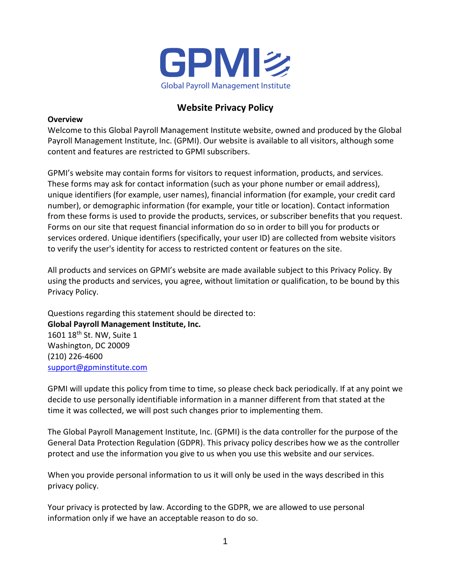

# **Website Privacy Policy**

### **Overview**

Welcome to this Global Payroll Management Institute website, owned and produced by the Global Payroll Management Institute, Inc. (GPMI). Our website is available to all visitors, although some content and features are restricted to GPMI subscribers.

GPMI's website may contain forms for visitors to request information, products, and services. These forms may ask for contact information (such as your phone number or email address), unique identifiers (for example, user names), financial information (for example, your credit card number), or demographic information (for example, your title or location). Contact information from these forms is used to provide the products, services, or subscriber benefits that you request. Forms on our site that request financial information do so in order to bill you for products or services ordered. Unique identifiers (specifically, your user ID) are collected from website visitors to verify the user's identity for access to restricted content or features on the site.

All products and services on GPMI's website are made available subject to this Privacy Policy. By using the products and services, you agree, without limitation or qualification, to be bound by this Privacy Policy.

Questions regarding this statement should be directed to: **Global Payroll Management Institute, Inc.** 1601 18<sup>th</sup> St. NW, Suite 1 Washington, DC 20009 (210) 226-4600 [support@gpminstitute.com](mailto:support@gpminstitute.com)

GPMI will update this policy from time to time, so please check back periodically. If at any point we decide to use personally identifiable information in a manner different from that stated at the time it was collected, we will post such changes prior to implementing them.

The Global Payroll Management Institute, Inc. (GPMI) is the data controller for the purpose of the General Data Protection Regulation (GDPR). This privacy policy describes how we as the controller protect and use the information you give to us when you use this website and our services.

When you provide personal information to us it will only be used in the ways described in this privacy policy.

Your privacy is protected by law. According to the GDPR, we are allowed to use personal information only if we have an acceptable reason to do so.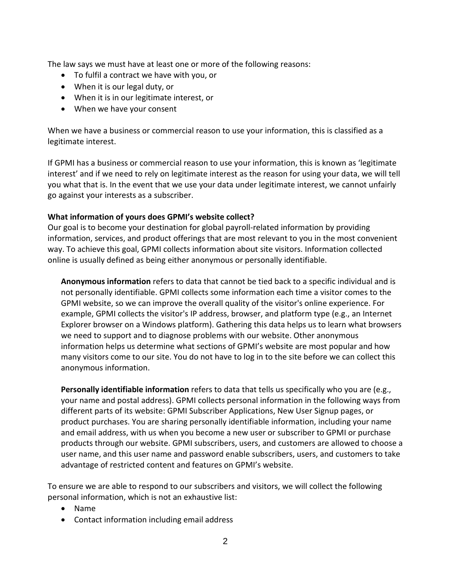The law says we must have at least one or more of the following reasons:

- To fulfil a contract we have with you, or
- When it is our legal duty, or
- When it is in our legitimate interest, or
- When we have your consent

When we have a business or commercial reason to use your information, this is classified as a legitimate interest.

If GPMI has a business or commercial reason to use your information, this is known as 'legitimate interest' and if we need to rely on legitimate interest as the reason for using your data, we will tell you what that is. In the event that we use your data under legitimate interest, we cannot unfairly go against your interests as a subscriber.

### **What information of yours does GPMI's website collect?**

Our goal is to become your destination for global payroll-related information by providing information, services, and product offerings that are most relevant to you in the most convenient way. To achieve this goal, GPMI collects information about site visitors. Information collected online is usually defined as being either anonymous or personally identifiable.

**Anonymous information** refers to data that cannot be tied back to a specific individual and is not personally identifiable. GPMI collects some information each time a visitor comes to the GPMI website, so we can improve the overall quality of the visitor's online experience. For example, GPMI collects the visitor's IP address, browser, and platform type (e.g., an Internet Explorer browser on a Windows platform). Gathering this data helps us to learn what browsers we need to support and to diagnose problems with our website. Other anonymous information helps us determine what sections of GPMI's website are most popular and how many visitors come to our site. You do not have to log in to the site before we can collect this anonymous information.

**Personally identifiable information** refers to data that tells us specifically who you are (e.g., your name and postal address). GPMI collects personal information in the following ways from different parts of its website: GPMI Subscriber Applications, New User Signup pages, or product purchases. You are sharing personally identifiable information, including your name and email address, with us when you become a new user or subscriber to GPMI or purchase products through our website. GPMI subscribers, users, and customers are allowed to choose a user name, and this user name and password enable subscribers, users, and customers to take advantage of restricted content and features on GPMI's website.

To ensure we are able to respond to our subscribers and visitors, we will collect the following personal information, which is not an exhaustive list:

- Name
- Contact information including email address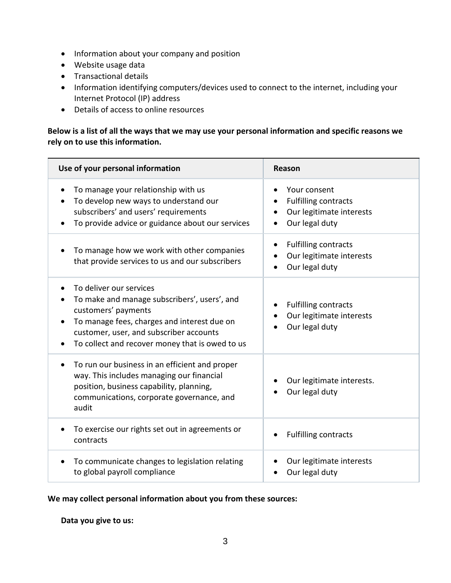- Information about your company and position
- Website usage data
- Transactional details
- Information identifying computers/devices used to connect to the internet, including your Internet Protocol (IP) address
- Details of access to online resources

# **Below is a list of all the ways that we may use your personal information and specific reasons we rely on to use this information.**

| Use of your personal information                                                                                                                                                                                                            | Reason                                                                                    |
|---------------------------------------------------------------------------------------------------------------------------------------------------------------------------------------------------------------------------------------------|-------------------------------------------------------------------------------------------|
| To manage your relationship with us<br>To develop new ways to understand our<br>subscribers' and users' requirements<br>To provide advice or guidance about our services                                                                    | Your consent<br><b>Fulfilling contracts</b><br>Our legitimate interests<br>Our legal duty |
| To manage how we work with other companies<br>that provide services to us and our subscribers                                                                                                                                               | <b>Fulfilling contracts</b><br>Our legitimate interests<br>Our legal duty                 |
| To deliver our services<br>To make and manage subscribers', users', and<br>customers' payments<br>To manage fees, charges and interest due on<br>customer, user, and subscriber accounts<br>To collect and recover money that is owed to us | <b>Fulfilling contracts</b><br>Our legitimate interests<br>Our legal duty                 |
| To run our business in an efficient and proper<br>way. This includes managing our financial<br>position, business capability, planning,<br>communications, corporate governance, and<br>audit                                               | Our legitimate interests.<br>Our legal duty                                               |
| To exercise our rights set out in agreements or<br>contracts                                                                                                                                                                                | <b>Fulfilling contracts</b>                                                               |
| To communicate changes to legislation relating<br>to global payroll compliance                                                                                                                                                              | Our legitimate interests<br>Our legal duty                                                |

# **We may collect personal information about you from these sources:**

#### **Data you give to us:**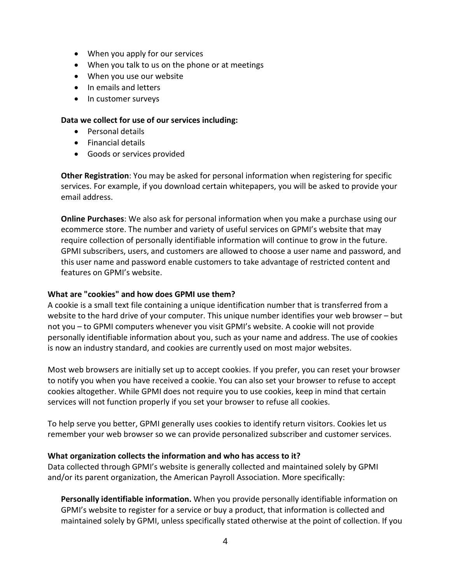- When you apply for our services
- When you talk to us on the phone or at meetings
- When you use our website
- In emails and letters
- In customer surveys

#### **Data we collect for use of our services including:**

- Personal details
- Financial details
- Goods or services provided

**Other Registration**: You may be asked for personal information when registering for specific services. For example, if you download certain whitepapers, you will be asked to provide your email address.

**Online Purchases**: We also ask for personal information when you make a purchase using our ecommerce store. The number and variety of useful services on GPMI's website that may require collection of personally identifiable information will continue to grow in the future. GPMI subscribers, users, and customers are allowed to choose a user name and password, and this user name and password enable customers to take advantage of restricted content and features on GPMI's website.

#### **What are "cookies" and how does GPMI use them?**

A cookie is a small text file containing a unique identification number that is transferred from a website to the hard drive of your computer. This unique number identifies your web browser – but not you – to GPMI computers whenever you visit GPMI's website. A cookie will not provide personally identifiable information about you, such as your name and address. The use of cookies is now an industry standard, and cookies are currently used on most major websites.

Most web browsers are initially set up to accept cookies. If you prefer, you can reset your browser to notify you when you have received a cookie. You can also set your browser to refuse to accept cookies altogether. While GPMI does not require you to use cookies, keep in mind that certain services will not function properly if you set your browser to refuse all cookies.

To help serve you better, GPMI generally uses cookies to identify return visitors. Cookies let us remember your web browser so we can provide personalized subscriber and customer services.

#### **What organization collects the information and who has access to it?**

Data collected through GPMI's website is generally collected and maintained solely by GPMI and/or its parent organization, the American Payroll Association. More specifically:

**Personally identifiable information.** When you provide personally identifiable information on GPMI's website to register for a service or buy a product, that information is collected and maintained solely by GPMI, unless specifically stated otherwise at the point of collection. If you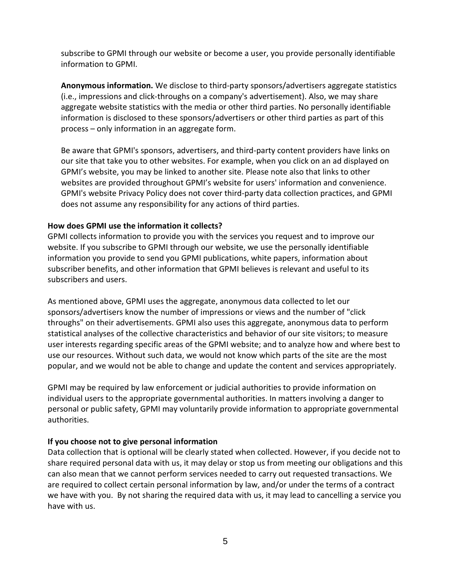subscribe to GPMI through our website or become a user, you provide personally identifiable information to GPMI.

**Anonymous information.** We disclose to third-party sponsors/advertisers aggregate statistics (i.e., impressions and click-throughs on a company's advertisement). Also, we may share aggregate website statistics with the media or other third parties. No personally identifiable information is disclosed to these sponsors/advertisers or other third parties as part of this process – only information in an aggregate form.

Be aware that GPMI's sponsors, advertisers, and third-party content providers have links on our site that take you to other websites. For example, when you click on an ad displayed on GPMI's website, you may be linked to another site. Please note also that links to other websites are provided throughout GPMI's website for users' information and convenience. GPMI's website Privacy Policy does not cover third-party data collection practices, and GPMI does not assume any responsibility for any actions of third parties.

### **How does GPMI use the information it collects?**

GPMI collects information to provide you with the services you request and to improve our website. If you subscribe to GPMI through our website, we use the personally identifiable information you provide to send you GPMI publications, white papers, information about subscriber benefits, and other information that GPMI believes is relevant and useful to its subscribers and users.

As mentioned above, GPMI uses the aggregate, anonymous data collected to let our sponsors/advertisers know the number of impressions or views and the number of "click throughs" on their advertisements. GPMI also uses this aggregate, anonymous data to perform statistical analyses of the collective characteristics and behavior of our site visitors; to measure user interests regarding specific areas of the GPMI website; and to analyze how and where best to use our resources. Without such data, we would not know which parts of the site are the most popular, and we would not be able to change and update the content and services appropriately.

GPMI may be required by law enforcement or judicial authorities to provide information on individual users to the appropriate governmental authorities. In matters involving a danger to personal or public safety, GPMI may voluntarily provide information to appropriate governmental authorities.

# **If you choose not to give personal information**

Data collection that is optional will be clearly stated when collected. However, if you decide not to share required personal data with us, it may delay or stop us from meeting our obligations and this can also mean that we cannot perform services needed to carry out requested transactions. We are required to collect certain personal information by law, and/or under the terms of a contract we have with you. By not sharing the required data with us, it may lead to cancelling a service you have with us.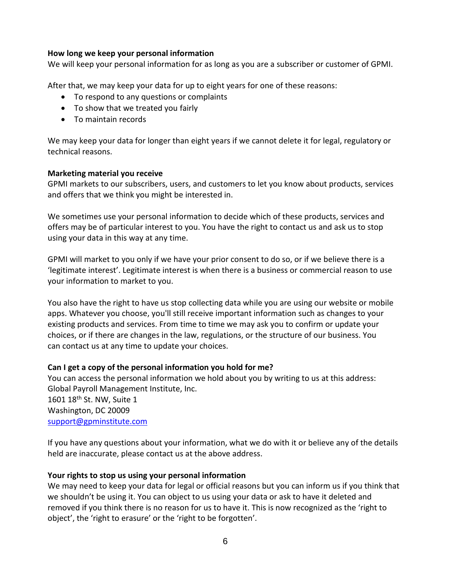#### **How long we keep your personal information**

We will keep your personal information for as long as you are a subscriber or customer of GPMI.

After that, we may keep your data for up to eight years for one of these reasons:

- To respond to any questions or complaints
- To show that we treated you fairly
- To maintain records

We may keep your data for longer than eight years if we cannot delete it for legal, regulatory or technical reasons.

#### **Marketing material you receive**

GPMI markets to our subscribers, users, and customers to let you know about products, services and offers that we think you might be interested in.

We sometimes use your personal information to decide which of these products, services and offers may be of particular interest to you. You have the right to contact us and ask us to stop using your data in this way at any time.

GPMI will market to you only if we have your prior consent to do so, or if we believe there is a 'legitimate interest'. Legitimate interest is when there is a business or commercial reason to use your information to market to you.

You also have the right to have us stop collecting data while you are using our website or mobile apps. Whatever you choose, you'll still receive important information such as changes to your existing products and services. From time to time we may ask you to confirm or update your choices, or if there are changes in the law, regulations, or the structure of our business. You can contact us at any time to update your choices.

# **Can I get a copy of the personal information you hold for me?**

You can access the personal information we hold about you by writing to us at this address: Global Payroll Management Institute, Inc. 1601 18<sup>th</sup> St. NW, Suite 1 Washington, DC 20009 [support@gpminstitute.com](mailto:support@gpminstitute.com)

If you have any questions about your information, what we do with it or believe any of the details held are inaccurate, please contact us at the above address.

# **Your rights to stop us using your personal information**

We may need to keep your data for legal or official reasons but you can inform us if you think that we shouldn't be using it. You can object to us using your data or ask to have it deleted and removed if you think there is no reason for us to have it. This is now recognized as the 'right to object', the 'right to erasure' or the 'right to be forgotten'.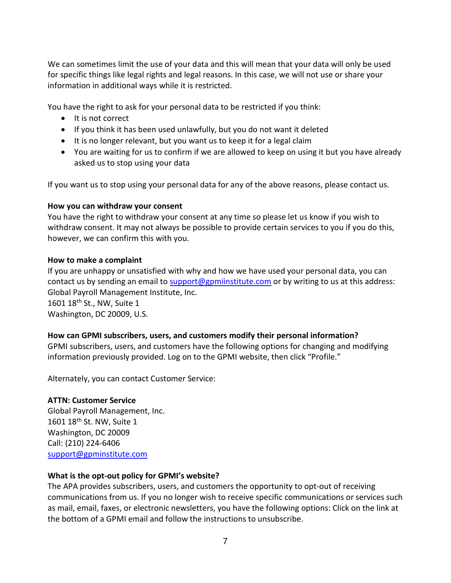We can sometimes limit the use of your data and this will mean that your data will only be used for specific things like legal rights and legal reasons. In this case, we will not use or share your information in additional ways while it is restricted.

You have the right to ask for your personal data to be restricted if you think:

- It is not correct
- If you think it has been used unlawfully, but you do not want it deleted
- It is no longer relevant, but you want us to keep it for a legal claim
- You are waiting for us to confirm if we are allowed to keep on using it but you have already asked us to stop using your data

If you want us to stop using your personal data for any of the above reasons, please contact us.

# **How you can withdraw your consent**

You have the right to withdraw your consent at any time so please let us know if you wish to withdraw consent. It may not always be possible to provide certain services to you if you do this, however, we can confirm this with you.

### **How to make a complaint**

If you are unhappy or unsatisfied with why and how we have used your personal data, you can contact us by sending an email to [support@gpmiinstitute.com](mailto:support@gpmiinstitute.com) or by writing to us at this address: Global Payroll Management Institute, Inc. 1601 18<sup>th</sup> St., NW, Suite 1

Washington, DC 20009, U.S.

# **How can GPMI subscribers, users, and customers modify their personal information?**

GPMI subscribers, users, and customers have the following options for changing and modifying information previously provided. Log on to the GPMI website, then click "Profile."

Alternately, you can contact Customer Service:

# **ATTN: Customer Service**

Global Payroll Management, Inc. 1601 18<sup>th</sup> St. NW, Suite 1 Washington, DC 20009 Call: (210) 224-6406 [support@gpminstitute.com](mailto:support@gpminstitute.com)

# **What is the opt-out policy for GPMI's website?**

The APA provides subscribers, users, and customers the opportunity to opt-out of receiving communications from us. If you no longer wish to receive specific communications or services such as mail, email, faxes, or electronic newsletters, you have the following options: Click on the link at the bottom of a GPMI email and follow the instructions to unsubscribe.